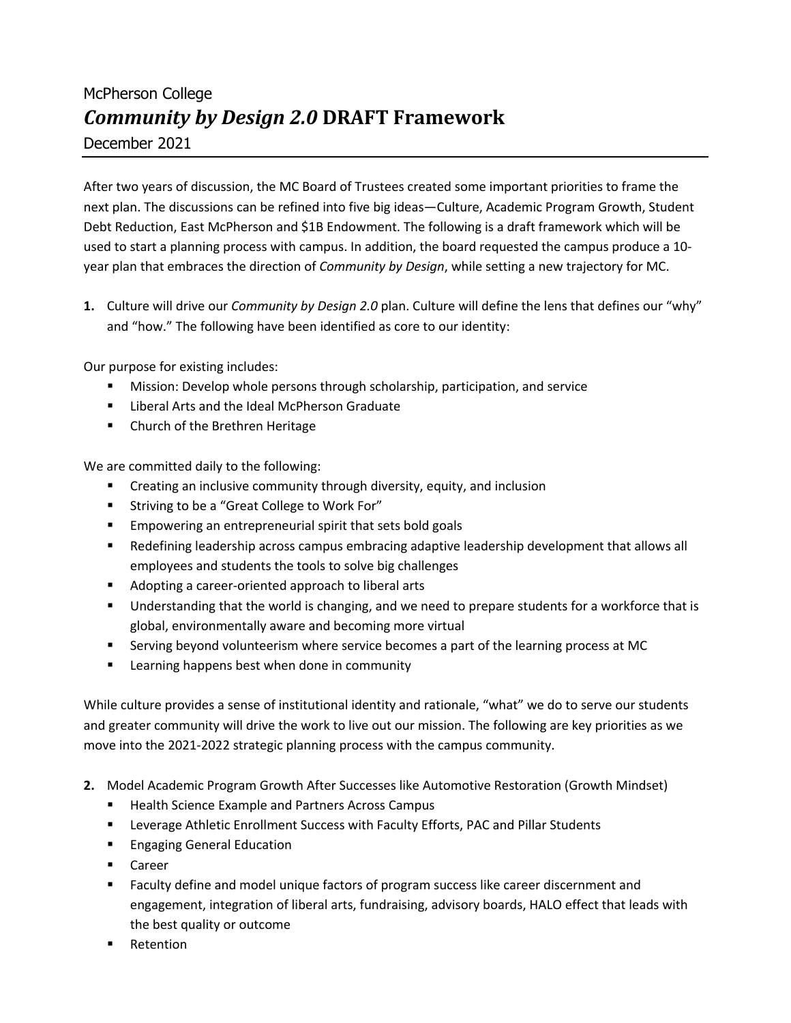# McPherson College *Community by Design 2.0* **DRAFT Framework** December 2021

After two years of discussion, the MC Board of Trustees created some important priorities to frame the next plan. The discussions can be refined into five big ideas—Culture, Academic Program Growth, Student Debt Reduction, East McPherson and \$1B Endowment. The following is a draft framework which will be used to start a planning process with campus. In addition, the board requested the campus produce a 10 year plan that embraces the direction of *Community by Design*, while setting a new trajectory for MC.

**1.** Culture will drive our *Community by Design 2.0* plan. Culture will define the lens that defines our "why" and "how." The following have been identified as core to our identity:

Our purpose for existing includes:

- **■** Mission: Develop whole persons through scholarship, participation, and service
- Liberal Arts and the Ideal McPherson Graduate
- Church of the Brethren Heritage

We are committed daily to the following:

- Creating an inclusive community through diversity, equity, and inclusion
- Striving to be a "Great College to Work For"
- § Empowering an entrepreneurial spirit that sets bold goals
- § Redefining leadership across campus embracing adaptive leadership development that allows all employees and students the tools to solve big challenges
- Adopting a career-oriented approach to liberal arts
- Understanding that the world is changing, and we need to prepare students for a workforce that is global, environmentally aware and becoming more virtual
- **EXECT** Serving beyond volunteerism where service becomes a part of the learning process at MC
- Learning happens best when done in community

While culture provides a sense of institutional identity and rationale, "what" we do to serve our students and greater community will drive the work to live out our mission. The following are key priorities as we move into the 2021-2022 strategic planning process with the campus community.

- **2.** Model Academic Program Growth After Successes like Automotive Restoration (Growth Mindset)
	- Health Science Example and Partners Across Campus
	- **■** Leverage Athletic Enrollment Success with Faculty Efforts, PAC and Pillar Students
	- Engaging General Education
	- Career
	- **■** Faculty define and model unique factors of program success like career discernment and engagement, integration of liberal arts, fundraising, advisory boards, HALO effect that leads with the best quality or outcome
	- Retention